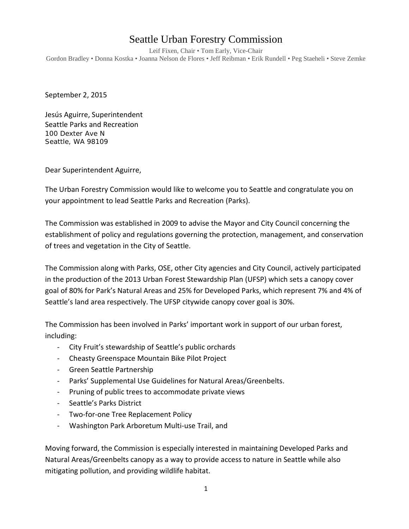## Seattle Urban Forestry Commission

Leif Fixen, Chair • Tom Early, Vice-Chair Gordon Bradley • Donna Kostka • Joanna Nelson de Flores • Jeff Reibman • Erik Rundell • Peg Staeheli • Steve Zemke

September 2, 2015

Jesús Aguirre, Superintendent Seattle Parks and Recreation 100 Dexter Ave N Seattle, WA 98109

Dear Superintendent Aguirre,

The Urban Forestry Commission would like to welcome you to Seattle and congratulate you on your appointment to lead Seattle Parks and Recreation (Parks).

The Commission was established in 2009 to advise the Mayor and City Council concerning the establishment of policy and regulations governing the protection, management, and conservation of trees and vegetation in the City of Seattle.

The Commission along with Parks, OSE, other City agencies and City Council, actively participated in the production of the 2013 Urban Forest Stewardship Plan (UFSP) which sets a canopy cover goal of 80% for Park's Natural Areas and 25% for Developed Parks, which represent 7% and 4% of Seattle's land area respectively. The UFSP citywide canopy cover goal is 30%.

The Commission has been involved in Parks' important work in support of our urban forest, including:

- City Fruit's stewardship of Seattle's public orchards
- Cheasty Greenspace Mountain Bike Pilot Project
- Green Seattle Partnership
- Parks' Supplemental Use Guidelines for Natural Areas/Greenbelts.
- Pruning of public trees to accommodate private views
- Seattle's Parks District
- Two-for-one Tree Replacement Policy
- Washington Park Arboretum Multi-use Trail, and

Moving forward, the Commission is especially interested in maintaining Developed Parks and Natural Areas/Greenbelts canopy as a way to provide access to nature in Seattle while also mitigating pollution, and providing wildlife habitat.